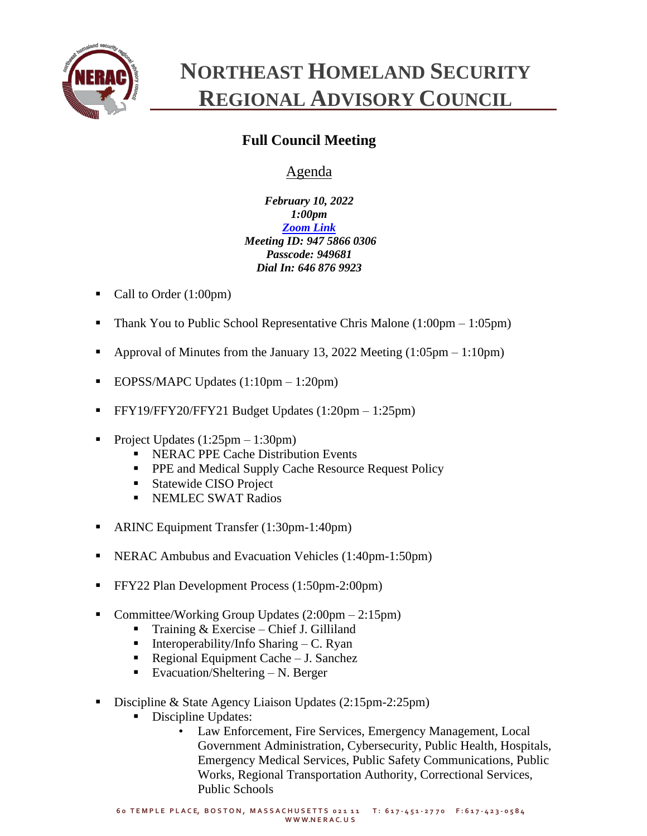

## **NORTHEAST HOMELAND SECURITY REGIONAL ADVISORY COUNCIL**

## **Full Council Meeting**

## Agenda

*February 10, 2022 1:00pm [Zoom Link](https://zoom.us/j/94758660306?pwd=SzNhc1dNd0ZYNGg4c0pmalJ1bXVMdz09) Meeting ID: 947 5866 0306 Passcode: 949681 Dial In: 646 876 9923*

- Call to Order (1:00pm)
- **•** Thank You to Public School Representative Chris Malone  $(1:00 \text{pm} 1:05 \text{pm})$
- Approval of Minutes from the January 13, 2022 Meeting  $(1:05pm 1:10pm)$
- EOPSS/MAPC Updates  $(1:10 \text{pm} 1:20 \text{pm})$
- **•** FFY19/FFY20/FFY21 Budget Updates  $(1:20 \text{pm} 1:25 \text{pm})$
- Project Updates  $(1:25pm 1:30pm)$ 
	- **EXECUTE Cache Distribution Events**
	- **PPE and Medical Supply Cache Resource Request Policy**
	- Statewide CISO Project
	- **EXEMPLEC SWAT Radios**
- ARINC Equipment Transfer (1:30pm-1:40pm)
- NERAC Ambubus and Evacuation Vehicles (1:40pm-1:50pm)
- FFY22 Plan Development Process (1:50pm-2:00pm)
- Committee/Working Group Updates  $(2:00 \text{pm} 2:15 \text{pm})$ 
	- **•** Training  $&$  Exercise Chief J. Gilliland
	- **•** Interoperability/Info Sharing  $-C$ . Ryan
	- Regional Equipment Cache J. Sanchez
	- **•** Evacuation/Sheltering  $N$ . Berger
- Discipline & State Agency Liaison Updates (2:15pm-2:25pm)
	- Discipline Updates:
		- Law Enforcement, Fire Services, Emergency Management, Local Government Administration, Cybersecurity, Public Health, Hospitals, Emergency Medical Services, Public Safety Communications, Public Works, Regional Transportation Authority, Correctional Services, Public Schools